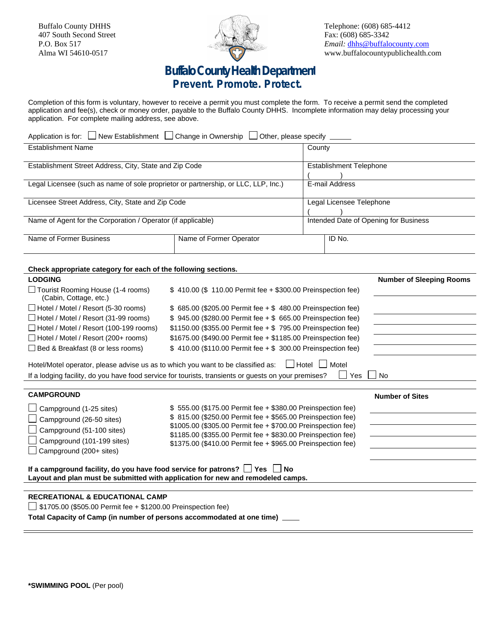Buffalo County DHHS 407 South Second Street P.O. Box 517 Alma WI 54610-0517



Telephone: (608) 685-4412 Fax: (608) 685-3342 *Email:* [dhhs@buffalocounty.com](mailto:dhhs@buffalocounty.com) www.buffalocountypublichealth.com

## **Buffalo County Health Department Prevent. Promote. Protect.**

Completion of this form is voluntary, however to receive a permit you must complete the form. To receive a permit send the completed application and fee(s), check or money order, payable to the Buffalo County DHHS. Incomplete information may delay processing your application. For complete mailing address, see above.

| Application is for: U New Establishment [<br>$\Box$ Change in Ownership $\parallel$<br>$\Box$ Other, please specify $\Box$ |                         |                                       |        |  |  |
|----------------------------------------------------------------------------------------------------------------------------|-------------------------|---------------------------------------|--------|--|--|
| <b>Establishment Name</b>                                                                                                  |                         | County                                |        |  |  |
|                                                                                                                            |                         |                                       |        |  |  |
| Establishment Street Address, City, State and Zip Code                                                                     |                         | <b>Establishment Telephone</b>        |        |  |  |
|                                                                                                                            |                         |                                       |        |  |  |
| Legal Licensee (such as name of sole proprietor or partnership, or LLC, LLP, Inc.)                                         |                         | E-mail Address                        |        |  |  |
|                                                                                                                            |                         |                                       |        |  |  |
| Licensee Street Address, City, State and Zip Code                                                                          |                         | Legal Licensee Telephone              |        |  |  |
|                                                                                                                            |                         |                                       |        |  |  |
| Name of Agent for the Corporation / Operator (if applicable)                                                               |                         | Intended Date of Opening for Business |        |  |  |
|                                                                                                                            |                         |                                       |        |  |  |
| Name of Former Business                                                                                                    | Name of Former Operator |                                       | ID No. |  |  |
|                                                                                                                            |                         |                                       |        |  |  |
|                                                                                                                            |                         |                                       |        |  |  |

## **Check appropriate category for each of the following sections.**

| $\Box$ Tourist Rooming House (1-4 rooms)<br>\$410.00 (\$110.00 Permit fee + \$300.00 Preinspection fee)<br>(Cabin, Cottage, etc.)<br>$\Box$ Hotel / Motel / Resort (5-30 rooms)<br>\$ 685.00 (\$205.00 Permit fee + \$ 480.00 Preinspection fee)<br>□ Hotel / Motel / Resort (31-99 rooms)<br>\$945.00 (\$280.00 Permit fee + \$665.00 Preinspection fee)<br>$\Box$ Hotel / Motel / Resort (100-199 rooms)<br>$$1150.00$ (\$355.00 Permit fee + \$ 795.00 Preinspection fee)<br>$\Box$ Hotel / Motel / Resort (200+ rooms)<br>\$1675.00 (\$490.00 Permit fee + \$1185.00 Preinspection fee)<br>$\Box$ Bed & Breakfast (8 or less rooms)<br>\$410.00 (\$110.00 Permit fee + \$300.00 Preinspection fee)<br>Hotel/Motel operator, please advise us as to which you want to be classified as:<br>Hotel I<br>Motel<br>Yes<br>If a lodging facility, do you have food service for tourists, transients or guests on your premises?<br><b>No</b><br><b>CAMPGROUND</b><br><b>Number of Sites</b><br>\$55.00 (\$175.00 Permit fee + \$380.00 Preinspection fee)<br>Campground (1-25 sites)<br>\$815.00 (\$250.00 Permit fee + \$565.00 Preinspection fee)<br>Campground (26-50 sites)<br>\$1005.00 (\$305.00 Permit fee + \$700.00 Preinspection fee)<br>Campground (51-100 sites)<br>\$1185.00 (\$355.00 Permit fee + \$830.00 Preinspection fee)<br>Campground (101-199 sites)<br>\$1375.00 (\$410.00 Permit fee + \$965.00 Preinspection fee)<br>$\Box$ Campground (200+ sites)<br>If a campground facility, do you have food service for patrons? $\Box$ Yes $\Box$ No<br>Layout and plan must be submitted with application for new and remodeled camps.<br><b>RECREATIONAL &amp; EDUCATIONAL CAMP</b><br>$\Box$ \$1705.00 (\$505.00 Permit fee + \$1200.00 Preinspection fee) | <b>LODGING</b> |  | <b>Number of Sleeping Rooms</b> |  |  |  |  |  |
|-----------------------------------------------------------------------------------------------------------------------------------------------------------------------------------------------------------------------------------------------------------------------------------------------------------------------------------------------------------------------------------------------------------------------------------------------------------------------------------------------------------------------------------------------------------------------------------------------------------------------------------------------------------------------------------------------------------------------------------------------------------------------------------------------------------------------------------------------------------------------------------------------------------------------------------------------------------------------------------------------------------------------------------------------------------------------------------------------------------------------------------------------------------------------------------------------------------------------------------------------------------------------------------------------------------------------------------------------------------------------------------------------------------------------------------------------------------------------------------------------------------------------------------------------------------------------------------------------------------------------------------------------------------------------------------------------------------------------------------------------------------------------------|----------------|--|---------------------------------|--|--|--|--|--|
|                                                                                                                                                                                                                                                                                                                                                                                                                                                                                                                                                                                                                                                                                                                                                                                                                                                                                                                                                                                                                                                                                                                                                                                                                                                                                                                                                                                                                                                                                                                                                                                                                                                                                                                                                                             |                |  |                                 |  |  |  |  |  |
|                                                                                                                                                                                                                                                                                                                                                                                                                                                                                                                                                                                                                                                                                                                                                                                                                                                                                                                                                                                                                                                                                                                                                                                                                                                                                                                                                                                                                                                                                                                                                                                                                                                                                                                                                                             |                |  |                                 |  |  |  |  |  |
|                                                                                                                                                                                                                                                                                                                                                                                                                                                                                                                                                                                                                                                                                                                                                                                                                                                                                                                                                                                                                                                                                                                                                                                                                                                                                                                                                                                                                                                                                                                                                                                                                                                                                                                                                                             |                |  |                                 |  |  |  |  |  |
|                                                                                                                                                                                                                                                                                                                                                                                                                                                                                                                                                                                                                                                                                                                                                                                                                                                                                                                                                                                                                                                                                                                                                                                                                                                                                                                                                                                                                                                                                                                                                                                                                                                                                                                                                                             |                |  |                                 |  |  |  |  |  |
|                                                                                                                                                                                                                                                                                                                                                                                                                                                                                                                                                                                                                                                                                                                                                                                                                                                                                                                                                                                                                                                                                                                                                                                                                                                                                                                                                                                                                                                                                                                                                                                                                                                                                                                                                                             |                |  |                                 |  |  |  |  |  |
|                                                                                                                                                                                                                                                                                                                                                                                                                                                                                                                                                                                                                                                                                                                                                                                                                                                                                                                                                                                                                                                                                                                                                                                                                                                                                                                                                                                                                                                                                                                                                                                                                                                                                                                                                                             |                |  |                                 |  |  |  |  |  |
|                                                                                                                                                                                                                                                                                                                                                                                                                                                                                                                                                                                                                                                                                                                                                                                                                                                                                                                                                                                                                                                                                                                                                                                                                                                                                                                                                                                                                                                                                                                                                                                                                                                                                                                                                                             |                |  |                                 |  |  |  |  |  |
|                                                                                                                                                                                                                                                                                                                                                                                                                                                                                                                                                                                                                                                                                                                                                                                                                                                                                                                                                                                                                                                                                                                                                                                                                                                                                                                                                                                                                                                                                                                                                                                                                                                                                                                                                                             |                |  |                                 |  |  |  |  |  |
|                                                                                                                                                                                                                                                                                                                                                                                                                                                                                                                                                                                                                                                                                                                                                                                                                                                                                                                                                                                                                                                                                                                                                                                                                                                                                                                                                                                                                                                                                                                                                                                                                                                                                                                                                                             |                |  |                                 |  |  |  |  |  |
|                                                                                                                                                                                                                                                                                                                                                                                                                                                                                                                                                                                                                                                                                                                                                                                                                                                                                                                                                                                                                                                                                                                                                                                                                                                                                                                                                                                                                                                                                                                                                                                                                                                                                                                                                                             |                |  |                                 |  |  |  |  |  |
|                                                                                                                                                                                                                                                                                                                                                                                                                                                                                                                                                                                                                                                                                                                                                                                                                                                                                                                                                                                                                                                                                                                                                                                                                                                                                                                                                                                                                                                                                                                                                                                                                                                                                                                                                                             |                |  |                                 |  |  |  |  |  |
|                                                                                                                                                                                                                                                                                                                                                                                                                                                                                                                                                                                                                                                                                                                                                                                                                                                                                                                                                                                                                                                                                                                                                                                                                                                                                                                                                                                                                                                                                                                                                                                                                                                                                                                                                                             |                |  |                                 |  |  |  |  |  |
|                                                                                                                                                                                                                                                                                                                                                                                                                                                                                                                                                                                                                                                                                                                                                                                                                                                                                                                                                                                                                                                                                                                                                                                                                                                                                                                                                                                                                                                                                                                                                                                                                                                                                                                                                                             |                |  |                                 |  |  |  |  |  |
|                                                                                                                                                                                                                                                                                                                                                                                                                                                                                                                                                                                                                                                                                                                                                                                                                                                                                                                                                                                                                                                                                                                                                                                                                                                                                                                                                                                                                                                                                                                                                                                                                                                                                                                                                                             |                |  |                                 |  |  |  |  |  |
|                                                                                                                                                                                                                                                                                                                                                                                                                                                                                                                                                                                                                                                                                                                                                                                                                                                                                                                                                                                                                                                                                                                                                                                                                                                                                                                                                                                                                                                                                                                                                                                                                                                                                                                                                                             |                |  |                                 |  |  |  |  |  |
|                                                                                                                                                                                                                                                                                                                                                                                                                                                                                                                                                                                                                                                                                                                                                                                                                                                                                                                                                                                                                                                                                                                                                                                                                                                                                                                                                                                                                                                                                                                                                                                                                                                                                                                                                                             |                |  |                                 |  |  |  |  |  |
| Total Capacity of Camp (in number of persons accommodated at one time)                                                                                                                                                                                                                                                                                                                                                                                                                                                                                                                                                                                                                                                                                                                                                                                                                                                                                                                                                                                                                                                                                                                                                                                                                                                                                                                                                                                                                                                                                                                                                                                                                                                                                                      |                |  |                                 |  |  |  |  |  |